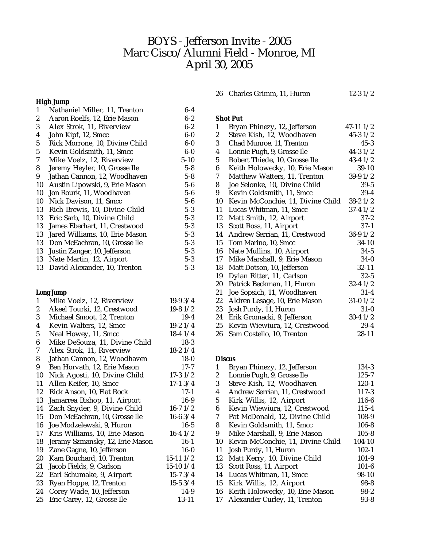# BOYS - Jefferson Invite - 2005 Marc Cisco/Alumni Field - Monroe, MI April 30, 2005

#### **High Jump**

| 1  | Nathaniel Miller, 11, Trenton  | $6-4$    |
|----|--------------------------------|----------|
| 2  | Aaron Roelfs, 12, Erie Mason   | $6 - 2$  |
| 3  | Alex Strok, 11, Riverview      | $6 - 2$  |
| 4  | John Kipf, 12, Smcc            | $6-0$    |
| 5  | Rick Morrone, 10, Divine Child | $6-0$    |
| 5  | Kevin Goldsmith, 11, Smcc      | $6-0$    |
| 7  | Mike Voelz, 12, Riverview      | $5 - 10$ |
| 8  | Jeremy Heyler, 10, Grosse Ile  | $5 - 8$  |
| 9  | Jathan Cannon, 12, Woodhaven   | $5-8$    |
| 10 | Austin Lipowski, 9, Erie Mason | $5 - 6$  |
| 10 | Jon Rourk, 11, Woodhaven       | $5 - 6$  |
| 10 | Nick Davison, 11, Smcc         | $5-6$    |
| 13 | Rich Brewis, 10, Divine Child  | $5 - 3$  |
| 13 | Eric Sarb, 10, Divine Child    | $5 - 3$  |
| 13 | James Eberhart, 11, Crestwood  | $5 - 3$  |
| 13 | Jared Williams, 10, Erie Mason | $5 - 3$  |
| 13 | Don McEachran, 10, Grosse Ile  | $5 - 3$  |
| 13 | Justin Zanger, 10, Jefferson   | $5 - 3$  |
| 13 | Nate Martin, 12, Airport       | $5 - 3$  |
| 13 | David Alexander, 10, Trenton   | $5 - 3$  |

# **Long Jump**

| $\mathbf{1}$     | Mike Voelz, 12, Riverview       | $19-93/4$     |
|------------------|---------------------------------|---------------|
| $\boldsymbol{2}$ | Akeel Tourki, 12, Crestwood     | $19-81/2$     |
| 3                | Michael Smoot, 12, Trenton      | $19-4$        |
| 4                | Kevin Walters, 12, Smcc         | $19-21/4$     |
| $\mathbf 5$      | Neal Howey, 11, Smcc            | $18-41/4$     |
| 6                | Mike DeSouza, 11, Divine Child  | $18-3$        |
| 7                | Alex Strok, 11, Riverview       | $18-21/4$     |
| 8                | Jathan Cannon, 12, Woodhaven    | $18-0$        |
| 9                | Ben Horvath, 12, Erie Mason     | $17 - 7$      |
| 10               | Nick Agosti, 10, Divine Child   | $17-31/2$     |
| 11               | Allen Keifer, 10, Smcc          | $17-13/4$     |
| 12               | Rick Anson, 10, Flat Rock       | $17-1$        |
| 13               | Jamarrea Bishop, 11, Airport    | $16-9$        |
| 14               | Zach Snyder, 9, Divine Child    | $16 - 71/2$   |
| 15               | Don McEachran, 10, Grosse Ile   | $16 - 63/4$   |
| 16               | Joe Modzelewski, 9, Huron       | $16 - 5$      |
| 17               | Kris Williams, 10, Erie Mason   | $16-41/2$     |
| 18               | Jeramy Szmansky, 12, Erie Mason | $16-1$        |
| 19               | Zane Gagne, 10, Jefferson       | $16-0$        |
| 20               | Kam Bouchard, 10, Trenton       | $15-11$ $1/2$ |
| 21               | Jacob Fields, 9, Carlson        | $15-10$ $1/4$ |
| 22               | Earl Schumake, 9, Airport       | $15-73/4$     |
| 23               | Ryan Hoppe, 12, Trenton         | $15-53/4$     |
| 24               | Corey Wade, 10, Jefferson       | 14-9          |
| 25               | Eric Carey, 12, Grosse Ile      | 13-11         |

| 26 Charles Grimm, 11, Huron | $12 - 31/2$ |
|-----------------------------|-------------|
|                             |             |

# **Shot Put**

| 1              | Bryan Phinezy, 12, Jefferson      | 47-11 1/2    |
|----------------|-----------------------------------|--------------|
| 2              | Steve Kish, 12, Woodhaven         | $45 - 31/2$  |
| 3              | Chad Munroe, 11, Trenton          | $45-3$       |
| 4              | Lonnie Pugh, 9, Grosse Ile        | $44-31/2$    |
| $\overline{5}$ | Robert Thiede, 10, Grosse Ile     | $43-41/2$    |
| 6              | Keith Holowecky, 10, Erie Mason   | $39-10$      |
| 7              | Matthew Watters, 11, Trenton      | $39-91/2$    |
| 8              | Joe Selonke, 10, Divine Child     | $39-5$       |
| 9              | Kevin Goldsmith, 11, Smcc         | $39 - 4$     |
| 10             | Kevin McConchie, 11, Divine Child | $38-21/2$    |
| 11             | Lucas Whitman, 11, Smcc           | $37-41/2$    |
| 12             | Matt Smith, 12, Airport           | $37 - 2$     |
| 13             | Scott Ross, 11, Airport           | 37-1         |
| 14             | Andrew Serrian, 11, Crestwood     | $36-9$ $1/2$ |
| 15             | Tom Marino, 10, Smcc              | 34-10        |
| 16             | Nate Mullins, 10, Airport         | $34 - 5$     |
| 17             | Mike Marshall, 9, Erie Mason      | 34-0         |
| 18             | Matt Dotson, 10, Jefferson        | $32 - 11$    |
| 19             | Dylan Ritter, 11, Carlson         | $32 - 5$     |
| 20             | Patrick Beckman, 11, Huron        | $32 - 41/2$  |
| 21             | Joe Sopsich, 11, Woodhaven        | $31 - 4$     |
| 22             | Aldren Lesage, 10, Erie Mason     | $31 - 01/2$  |
| 23             | Josh Purdy, 11, Huron             | $31 - 0$     |
| 24             | Erik Gromacki, 9, Jefferson       | $30 - 41/2$  |
| 25             | Kevin Wiewiura, 12, Crestwood     | $29 - 4$     |
| 26             | Sam Costello, 10, Trenton         | 28-11        |
|                |                                   |              |

#### **Discus**

| 1                | Bryan Phinezy, 12, Jefferson      | 134-3     |
|------------------|-----------------------------------|-----------|
| 2                | Lonnie Pugh, 9, Grosse Ile        | $125 - 7$ |
| 3                | Steve Kish, 12, Woodhaven         | $120 - 1$ |
| $\boldsymbol{4}$ | Andrew Serrian, 11, Crestwood     | 117-3     |
| 5                | Kirk Willis, 12, Airport          | $116 - 6$ |
| 6                | Kevin Wiewiura, 12, Crestwood     | $115 - 4$ |
| 7                | Pat McDonald, 12, Divine Child    | $108-9$   |
| 8                | Kevin Goldsmith, 11, Smcc         | $106 - 8$ |
| 9                | Mike Marshall, 9, Erie Mason      | $105 - 8$ |
| 10               | Kevin McConchie, 11, Divine Child | 104-10    |
| 11               | Josh Purdy, 11, Huron             | $102 - 1$ |
| 12               | Matt Kerry, 10, Divine Child      | $101-9$   |
| 13               | Scott Ross, 11, Airport           | $101 - 6$ |
| 14               | Lucas Whitman, 11, Smcc           | 98-10     |
| 15               | Kirk Willis, 12, Airport          | $98 - 8$  |
| 16               | Keith Holowecky, 10, Erie Mason   | $98 - 2$  |
| 17               | Alexander Curley, 11, Trenton     | $93 - 8$  |
|                  |                                   |           |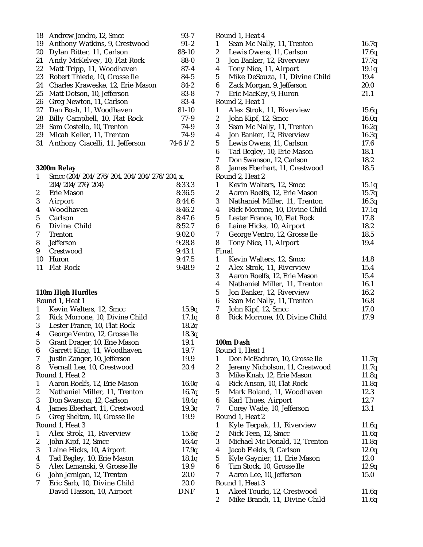| 18 | Andrew Jondro, 12, Smcc          | $93 - 7$     |
|----|----------------------------------|--------------|
| 19 | Anthony Watkins, 9, Crestwood    | $91 - 2$     |
| 20 | Dylan Ritter, 11, Carlson        | $88 - 10$    |
| 21 | Andy McKelvey, 10, Flat Rock     | $88 - 0$     |
| 22 | Matt Tripp, 11, Woodhaven        | $87 - 4$     |
| 23 | Robert Thiede, 10, Grosse Ile    | $84 - 5$     |
| 24 | Charles Kraweske, 12, Erie Mason | $84 - 2$     |
| 25 | Matt Dotson, 10, Jefferson       | $83 - 8$     |
| 26 | Greg Newton, 11, Carlson         | $83-4$       |
| 27 | Dan Bosh, 11, Woodhaven          | $81 - 10$    |
| 28 | Billy Campbell, 10, Flat Rock    | $77-9$       |
| 29 | Sam Costello, 10, Trenton        | 74-9         |
| 29 | Micah Keller, 11, Trenton        | 74-9         |
| 31 | Anthony Ciacelli, 11, Jefferson  | $74-6$ $1/2$ |

#### **3200m Relay**

| Smcc (204/204/276/204, 204/204/276/204, x, |        |  |
|--------------------------------------------|--------|--|
| 204/204/276/204)                           | 8:33.3 |  |
| Erie Mason                                 | 8:36.5 |  |
| Airport                                    | 8:44.6 |  |
| Woodhaven                                  | 8:46.2 |  |
| Carlson                                    | 8:47.6 |  |
| Divine Child                               | 8:52.7 |  |
| <b>Trenton</b>                             | 9:02.0 |  |
| <b>Jefferson</b>                           | 9:28.8 |  |
| Crestwood                                  | 9:43.1 |  |
| Huron                                      | 9:47.5 |  |
| <b>Flat Rock</b>                           | 9:48.9 |  |
|                                            |        |  |

# **110m High Hurdles**

|                  | Round 1, Heat 1                |       |
|------------------|--------------------------------|-------|
| 1                | Kevin Walters, 12, Smcc        | 15.9q |
| 2                | Rick Morrone, 10, Divine Child | 17.1q |
| 3                | Lester France, 10, Flat Rock   | 18.2q |
| 4                | George Ventro, 12, Grosse Ile  | 18.3q |
| 5                | Grant Drager, 10, Erie Mason   | 19.1  |
| 6                | Garrett King, 11, Woodhaven    | 19.7  |
| 7                | Justin Zanger, 10, Jefferson   | 19.9  |
| 8                | Vernall Lee, 10, Crestwood     | 20.4  |
|                  | Round 1, Heat 2                |       |
| 1                | Aaron Roelfs, 12, Erie Mason   | 16.0q |
| 2                | Nathaniel Miller, 11, Trenton  | 16.7q |
| 3                | Don Swanson, 12, Carlson       | 18.4q |
| 4                | James Eberhart, 11, Crestwood  | 19.3q |
| 5                | Greg Shelton, 10, Grosse Ile   | 19.9  |
|                  | Round 1, Heat 3                |       |
| 1                | Alex Strok, 11, Riverview      | 15.6q |
| $\boldsymbol{2}$ | John Kipf, 12, Smcc            | 16.4q |
| 3                | Laine Hicks, 10, Airport       | 17.9q |
| 4                | Tad Begley, 10, Erie Mason     | 18.1q |
| 5                | Alex Lemanski, 9, Grosse Ile   | 19.9  |
| 6                | John Jernigan, 12, Trenton     | 20.0  |
| 7                | Eric Sarb, 10, Divine Child    | 20.0  |
|                  | David Hasson, 10, Airport      | DNF   |
|                  |                                |       |

|                         | Round I, Heat 4                |       |
|-------------------------|--------------------------------|-------|
| 1                       | Sean Mc Nally, 11, Trenton     | 16.7q |
| $\overline{c}$          | Lewis Owens, 11, Carlson       | 17.6q |
| 3                       | Jon Banker, 12, Riverview      | 17.7q |
| $\boldsymbol{4}$        | Tony Nice, 11, Airport         | 19.1q |
| $\overline{5}$          | Mike DeSouza, 11, Divine Child | 19.4  |
| $\boldsymbol{6}$        | Zack Morgan, 9, Jefferson      | 20.0  |
| 7                       | Eric MacKey, 9, Huron          | 21.1  |
|                         | Round 2, Heat 1                |       |
| $\mathbf{1}$            | Alex Strok, 11, Riverview      | 15.6q |
| $\boldsymbol{2}$        | John Kipf, 12, Smcc            | 16.0q |
| 3                       | Sean Mc Nally, 11, Trenton     | 16.2q |
| $\boldsymbol{4}$        | Jon Banker, 12, Riverview      | 16.3q |
| $\overline{5}$          | Lewis Owens, 11, Carlson       | 17.6  |
| $\boldsymbol{6}$        | Tad Begley, 10, Erie Mason     | 18.1  |
| 7                       | Don Swanson, 12, Carlson       | 18.2  |
| 8                       | James Eberhart, 11, Crestwood  | 18.5  |
|                         | Round 2, Heat 2                |       |
| $\mathbf{1}$            | Kevin Walters, 12, Smcc        | 15.1q |
| $\boldsymbol{2}$        | Aaron Roelfs, 12, Erie Mason   | 15.7q |
| 3                       | Nathaniel Miller, 11, Trenton  | 16.3q |
| $\boldsymbol{4}$        | Rick Morrone, 10, Divine Child | 17.1q |
| $\overline{5}$          | Lester France, 10, Flat Rock   | 17.8  |
| $\boldsymbol{6}$        | Laine Hicks, 10, Airport       | 18.2  |
| 7                       | George Ventro, 12, Grosse Ile  | 18.5  |
| 8                       | Tony Nice, 11, Airport         | 19.4  |
|                         | Final                          |       |
| 1                       | Kevin Walters, 12, Smcc        | 14.8  |
| $\boldsymbol{2}$        | Alex Strok, 11, Riverview      | 15.4  |
| 3                       | Aaron Roelfs, 12, Erie Mason   | 15.4  |
| $\overline{\mathbf{4}}$ | Nathaniel Miller, 11, Trenton  | 16.1  |
| $\overline{5}$          | Jon Banker, 12, Riverview      | 16.2  |
| $\boldsymbol{6}$        | Sean Mc Nally, 11, Trenton     | 16.8  |
| 7                       | John Kipf, 12, Smcc            | 17.0  |
| 8                       | Rick Morrone, 10, Divine Child | 17.9  |
|                         |                                |       |

 $R = 14 H$ 

**100m Dash** Round 1, Heat 1 1 Don McEachran, 10, Grosse Ile 11.7q 2 Jeremy Nicholson, 11, Crestwood 11.7q 3 Mike Knab, 12, Erie Mason 11.8q<br>4 Rick Anson. 10. Flat Rock 11.8q Rick Anson, 10, Flat Rock 11.8q 5 Mark Roland, 11, Woodhaven 12.3 6 Karl Thues, Airport 12.7 7 Corey Wade, 10, Jefferson 13.1 Round 1, Heat 2 1 Kyle Terpak, 11, Riverview 11.6q<br>2 Nick Teen, 12, Smcc 11.6q  $Nick$  Teen, 12, Smcc  $11.6q$ 3 Michael Mc Donald, 12, Trenton 11.8q 4 Jacob Fields, 9, Carlson 12.0q 5 Kyle Gaynier, 11, Erie Mason 12.0 6 Tim Stock, 10, Grosse Ile 12.9q 7 Aaron Lee, 10, Jefferson 15.0 Round 1, Heat 3 1 Akeel Tourki, 12, Crestwood 11.6q 2 Mike Brandi, 11, Divine Child 11.6q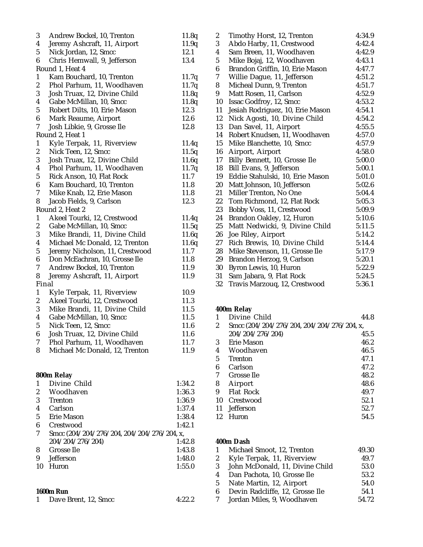| 3                       | Andrew Bockel, 10, Trenton                 | 11.8q  |
|-------------------------|--------------------------------------------|--------|
| $\overline{4}$          | Jeremy Ashcraft, 11, Airport               | 11.9q  |
| $\mathbf 5$             | Nick Jordan, 12, Smcc                      | 12.1   |
| 6                       | Chris Hemwall, 9, Jefferson                | 13.4   |
|                         | Round 1, Heat 4                            |        |
| $\mathbf{1}$            | Kam Bouchard, 10, Trenton                  | 11.7q  |
| $\overline{c}$          | Phol Parhum, 11, Woodhaven                 | 11.7q  |
| 3                       | Josh Truax, 12, Divine Child               | 11.8q  |
| 4                       | Gabe McMillan, 10, Smcc                    | 11.8q  |
| $\overline{5}$          | Robert Dilts, 10, Erie Mason               | 12.3   |
| $\boldsymbol{6}$        | Mark Reaume, Airport                       | 12.6   |
| 7                       | Josh Libkie, 9, Grosse Ile                 | 12.8   |
|                         | Round 2, Heat 1                            |        |
| $\mathbf{1}$            | Kyle Terpak, 11, Riverview                 | 11.4q  |
| $\boldsymbol{2}$        | Nick Teen, 12, Smcc                        | 11.5q  |
| 3                       | Josh Truax, 12, Divine Child               | 11.6q  |
| 4                       | Phol Parhum, 11, Woodhaven                 | 11.7q  |
| $\overline{5}$          | Rick Anson, 10, Flat Rock                  | 11.7   |
| $\boldsymbol{6}$        | Kam Bouchard, 10, Trenton                  | 11.8   |
| 7                       | Mike Knab, 12, Erie Mason                  | 11.8   |
| 8                       | Jacob Fields, 9, Carlson                   | 12.3   |
|                         | Round 2, Heat 2                            |        |
| $\mathbf{1}$            | Akeel Tourki, 12, Crestwood                | 11.4q  |
| $\boldsymbol{2}$        | Gabe McMillan, 10, Smcc                    | 11.5q  |
| 3                       | Mike Brandi, 11, Divine Child              | 11.6q  |
| $\boldsymbol{4}$        | Michael Mc Donald, 12, Trenton             | 11.6q  |
| $\overline{5}$          | Jeremy Nicholson, 11, Crestwood            | 11.7   |
| $\boldsymbol{6}$        | Don McEachran, 10, Grosse Ile              | 11.8   |
| 7                       | Andrew Bockel, 10, Trenton                 | 11.9   |
| 8                       | Jeremy Ashcraft, 11, Airport               | 11.9   |
| Final                   |                                            |        |
| $\mathbf{1}$            | Kyle Terpak, 11, Riverview                 | 10.9   |
| $\boldsymbol{2}$        | Akeel Tourki, 12, Crestwood                | 11.3   |
| 3                       | Mike Brandi, 11, Divine Child              | 11.5   |
| 4                       | Gabe McMillan, 10, Smcc                    | 11.5   |
| $\mathbf 5$             | Nick Teen, 12, Smcc                        | 11.6   |
| $6\phantom{1}$          | Josh Truax, 12, Divine Child               | 11.6   |
| $\mathbf 7$             | Phol Parhum, 11, Woodhaven                 | 11.7   |
| 8                       | Michael Mc Donald, 12, Trenton             | 11.9   |
|                         |                                            |        |
|                         |                                            |        |
|                         | 800m Relay                                 |        |
| 1                       | Divine Child                               | 1:34.2 |
| $\boldsymbol{2}$        | Woodhaven                                  | 1:36.3 |
| 3                       | <b>Trenton</b>                             | 1:36.9 |
| $\overline{\mathbf{4}}$ | Carlson                                    | 1:37.4 |
| $\bf 5$                 | Erie Mason                                 | 1:38.4 |
| 6                       | Crestwood                                  | 1:42.1 |
| 7                       | Smcc (204/204/276/204, 204/204/276/204, x, |        |
|                         | 204/204/276/204)                           | 1:42.8 |
| 8                       | Grosse Ile                                 | 1:43.8 |
| 9                       | Jefferson                                  | 1:48.0 |
| 10                      | Huron                                      | 1:55.0 |
|                         |                                            |        |
|                         |                                            |        |
|                         | <b>1600m Run</b>                           |        |

1 Dave Brent, 12, Smcc 4:22.2

| Timothy Horst, 12, Trenton      | 4:34.9                                                                                                                       |
|---------------------------------|------------------------------------------------------------------------------------------------------------------------------|
| Abdo Harby, 11, Crestwood       | 4:42.4                                                                                                                       |
| Sam Breen, 11, Woodhaven        | 4:42.9                                                                                                                       |
| Mike Bojaj, 12, Woodhaven       | 4:43.1                                                                                                                       |
| Brandon Griffin, 10, Erie Mason | 4:47.7                                                                                                                       |
| Willie Dague, 11, Jefferson     | 4:51.2                                                                                                                       |
| Micheal Dunn, 9, Trenton        | 4:51.7                                                                                                                       |
| Matt Rosen, 11, Carlson         | 4:52.9                                                                                                                       |
| Issac Godfroy, 12, Smcc         | 4:53.2                                                                                                                       |
|                                 | 4:54.1                                                                                                                       |
|                                 | 4:54.2                                                                                                                       |
| 13                              | 4:55.5                                                                                                                       |
| Robert Knudsen, 11, Woodhaven   | 4:57.0                                                                                                                       |
| Mike Blanchette, 10, Smcc       | 4:57.9                                                                                                                       |
| Airport, Airport                | 4:58.0                                                                                                                       |
|                                 | 5:00.0                                                                                                                       |
| Bill Evans, 9, Jefferson        | 5:00.1                                                                                                                       |
| Eddie Stahulski, 10, Erie Mason | 5:01.0                                                                                                                       |
| Matt Johnson, 10, Jefferson     | 5:02.6                                                                                                                       |
| Miller Trenton, No One          | 5:04.4                                                                                                                       |
| Tom Richmond, 12, Flat Rock     | 5:05.3                                                                                                                       |
| Bobby Voss, 11, Crestwood       | 5:09.9                                                                                                                       |
| Brandon Oakley, 12, Huron       | 5:10.6                                                                                                                       |
| Matt Nedwicki, 9, Divine Child  | 5:11.5                                                                                                                       |
| Joe Riley, Airport              | 5:14.2                                                                                                                       |
| Rich Brewis, 10, Divine Child   | 5:14.4                                                                                                                       |
| Mike Stevenson, 11, Grosse Ile  | 5:17.9                                                                                                                       |
| Brandon Herzog, 9, Carlson      | 5:20.1                                                                                                                       |
| Byron Lewis, 10, Huron          | 5:22.9                                                                                                                       |
| Sam Jabara, 9, Flat Rock        | 5:24.5                                                                                                                       |
| Travis Marzouq, 12, Crestwood   | 5:36.1                                                                                                                       |
|                                 | Jesiah Rodriguez, 10, Erie Mason<br>Nick Agosti, 10, Divine Child<br>Dan Savel, 11, Airport<br>Billy Bennett, 10, Grosse Ile |

# **400m Relay**

|    | Divine Child                               | 44.8 |
|----|--------------------------------------------|------|
| 2  | Smcc (204/204/276/204, 204/204/276/204, x, |      |
|    | 204/204/276/204)                           | 45.5 |
| 3  | Erie Mason                                 | 46.2 |
| 4  | Woodhaven                                  | 46.5 |
| 5  | <b>Trenton</b>                             | 47.1 |
| 6  | Carlson                                    | 47.2 |
| 7  | Grosse Ile                                 | 48.2 |
| 8  | Airport                                    | 48.6 |
| 9  | <b>Flat Rock</b>                           | 49.7 |
| 10 | Crestwood                                  | 52.1 |
| 11 | <b>Jefferson</b>                           | 52.7 |
| 12 | Huron                                      | 54.5 |

# **400m Dash**

| $\mathbf{1}$ | Michael Smoot, 12, Trenton      | 49.30 |
|--------------|---------------------------------|-------|
| $2^{\circ}$  | Kyle Terpak, 11, Riverview      | 49.7  |
| 3            | John McDonald, 11, Divine Child | 53.0  |
| 4            | Dan Pachota, 10, Grosse Ile     | 53.2  |
| 5            | Nate Martin, 12, Airport        | 54.0  |
| 6            | Devin Radcliffe, 12, Grosse Ile | 54.1  |
| 7            | Jordan Miles, 9, Woodhaven      | 54.72 |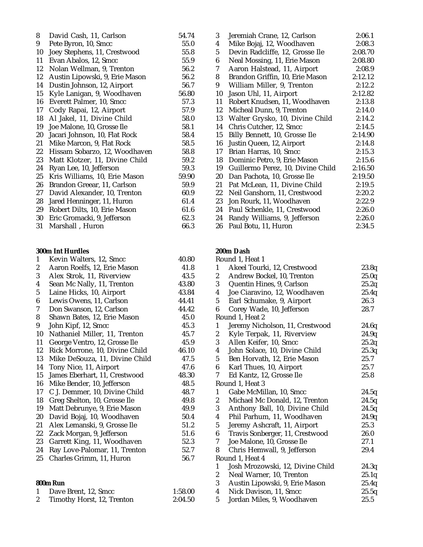| 8  | David Cash, 11, Carlson        | 54.74 |
|----|--------------------------------|-------|
| 9  | Pete Byron, 10, Smcc           | 55.0  |
| 10 | Joey Stephens, 11, Crestwood   | 55.8  |
| 11 | Evan Abalos, 12, Smcc          | 55.9  |
| 12 | Nolan Wellman, 9, Trenton      | 56.2  |
| 12 | Austin Lipowski, 9, Erie Mason | 56.2  |
| 14 | Dustin Johnson, 12, Airport    | 56.7  |
| 15 | Kyle Lanigan, 9, Woodhaven     | 56.80 |
| 16 | Everett Palmer, 10, Smcc       | 57.3  |
| 17 | Cody Rapai, 12, Airport        | 57.9  |
| 18 | Al Jakel, 11, Divine Child     | 58.0  |
| 19 | Joe Malone, 10, Grosse Ile     | 58.1  |
| 20 | Jacari Johnson, 10, Flat Rock  | 58.4  |
| 21 | Mike Marcon, 9, Flat Rock      | 58.5  |
| 22 | Hissam Sobarzo, 12, Woodhaven  | 58.8  |
| 23 | Matt Klotzer, 11, Divine Child | 59.2  |
| 24 | Ryan Lee, 10, Jefferson        | 59.3  |
| 25 | Kris Williams, 10, Erie Mason  | 59.90 |
| 26 | Brandon Greear, 11, Carlson    | 59.9  |
| 27 | David Alexander, 10, Trenton   | 60.9  |
| 28 | Jared Henninger, 11, Huron     | 61.4  |
| 29 | Robert Dilts, 10, Erie Mason   | 61.6  |
| 30 | Eric Gromacki, 9, Jefferson    | 62.3  |
| 31 | Marshall, Huron                | 66.3  |

#### **300m Int Hurdles**

| 1              | Kevin Walters, 12, Smcc        | 40.80   |
|----------------|--------------------------------|---------|
| 2              | Aaron Roelfs, 12, Erie Mason   | 41.8    |
| 3              | Alex Strok, 11, Riverview      | 43.5    |
| 4              | Sean Mc Nally, 11, Trenton     | 43.80   |
| 5              | Laine Hicks, 10, Airport       | 43.84   |
| 6              | Lewis Owens, 11, Carlson       | 44.41   |
| 7              | Don Swanson, 12, Carlson       | 44.42   |
| 8              | Shawn Bates, 12, Erie Mason    | 45.0    |
| 9              | John Kipf, 12, Smcc            | 45.3    |
| 10             | Nathaniel Miller, 11, Trenton  | 45.7    |
| 11             | George Ventro, 12, Grosse Ile  | 45.9    |
| 12             | Rick Morrone, 10, Divine Child | 46.10   |
| 13             | Mike DeSouza, 11, Divine Child | 47.5    |
| 14             | Tony Nice, 11, Airport         | 47.6    |
| 15             | James Eberhart, 11, Crestwood  | 48.30   |
| 16             | Mike Bender, 10, Jefferson     | 48.5    |
| 17             | C J. Demmer, 10, Divine Child  | 48.7    |
| 18             | Greg Shelton, 10, Grosse Ile   | 49.8    |
| 19             | Matt Debrunye, 9, Erie Mason   | 49.9    |
| 20             | David Bojaj, 10, Woodhaven     | 50.4    |
| 21             | Alex Lemanski, 9, Grosse Ile   | 51.2    |
| 22             | Zack Morgan, 9, Jefferson      | 51.6    |
| 23             | Garrett King, 11, Woodhaven    | 52.3    |
| 24             | Ray Love-Palomar, 11, Trenton  | 52.7    |
| 25             | Charles Grimm, 11, Huron       | 56.7    |
|                | <b>800m Run</b>                |         |
| 1              | Dave Brent, 12, Smcc           | 1:58.00 |
| $\overline{c}$ | Timothy Horst, 12, Trenton     | 2:04.50 |

| 3  | Jeremiah Crane, 12, Carlson       | 2:06.1  |
|----|-----------------------------------|---------|
| 4  | Mike Bojaj, 12, Woodhaven         | 2:08.3  |
| 5  | Devin Radcliffe, 12, Grosse Ile   | 2:08.70 |
| 6  | Neal Mossing, 11, Erie Mason      | 2:08.80 |
| 7  | Aaron Halstead, 11, Airport       | 2:08.9  |
| 8  | Brandon Griffin, 10, Erie Mason   | 2:12.12 |
| 9  | William Miller, 9, Trenton        | 2:12.2  |
| 10 | Jason Uhl, 11, Airport            | 2:12.82 |
| 11 | Robert Knudsen, 11, Woodhaven     | 2:13.8  |
| 12 | Micheal Dunn, 9, Trenton          | 2:14.0  |
| 13 | Walter Grysko, 10, Divine Child   | 2:14.2  |
| 14 | Chris Cutcher, 12, Smcc           | 2:14.5  |
| 15 | Billy Bennett, 10, Grosse Ile     | 2:14.90 |
| 16 | Justin Queen, 12, Airport         | 2:14.8  |
| 17 | Brian Harras, 10, Smcc            | 2:15.3  |
| 18 | Dominic Petro, 9, Erie Mason      | 2:15.6  |
| 19 | Guillermo Perez, 10, Divine Child | 2:16.50 |
| 20 | Dan Pachota, 10, Grosse Ile       | 2:19.50 |
| 21 | Pat McLean, 11, Divine Child      | 2:19.5  |
| 22 | Neil Ganshorn, 11, Crestwood      | 2:20.2  |
| 23 | Jon Rourk, 11, Woodhaven          | 2:22.9  |
| 24 | Paul Schenkle, 11, Crestwood      | 2:26.0  |
| 24 | Randy Williams, 9, Jefferson      | 2:26.0  |
| 26 | Paul Botu, 11, Huron              | 2:34.5  |

#### **200m Dash** Round 1, Heat 1 1 Akeel Tourki, 12, Crestwood 23.8q 2 Andrew Bockel, 10, Trenton 25.0q<br>3 Quentin Hines, 9, Carlson 25.2q 3 Quentin Hines, 9, Carlson 4 Joe Ciaravino, 12, Woodhaven 25.4q 5 Earl Schumake, 9, Airport 26.3 6 Corey Wade, 10, Jefferson 28.7 Round 1, Heat 2 1 Jeremy Nicholson, 11, Crestwood 24.6q 2 Kyle Terpak, 11, Riverview 24.9q 3 Allen Keifer, 10, Smcc 25.2q 4 John Solace, 10, Divine Child 25.3q 5 Ben Horvath, 12, Erie Mason 25.7 6 Karl Thues, 10, Airport 25.7 7 Ed Kantz, 12, Grosse Ile 25.8 Round 1, Heat 3 1 Gabe McMillan, 10, Smcc 24.5q 2 Michael Mc Donald, 12, Trenton 24.5q 3 Anthony Ball, 10, Divine Child 24.5q 4 Phil Parhum, 11, Woodhaven 24.9q

5 Jeremy Ashcraft, 11, Airport 25.3<br>6 Travis Sonberger, 11, Crestwood 26.0

7 Joe Malone, 10, Grosse Ile 27.1 8 Chris Hemwall, 9, Jefferson 29.4

1 Josh Mrozowski, 12, Divine Child 24.3q<br>2 Neal Warner, 10, Trenton 25.1q Neal Warner, 10, Trenton 25.1q 3 Austin Lipowski, 9, Erie Mason 25.4q 4 Nick Davison, 11, Smcc 25.5q 5 Jordan Miles, 9, Woodhaven 25.5

6 Travis Sonberger, 11, Crestwood

Round 1, Heat 4